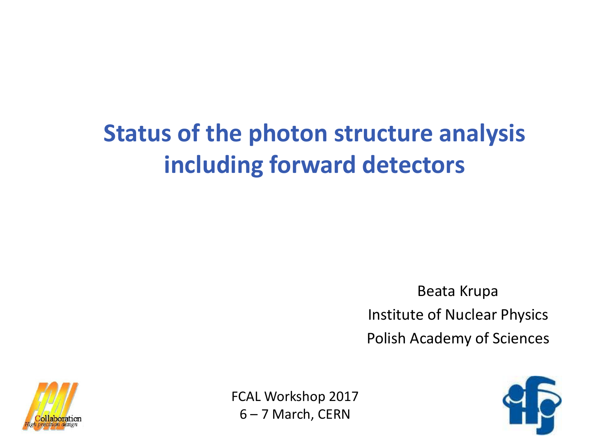# **Status of the photon structure analysis including forward detectors**

Beata Krupa Institute of Nuclear Physics Polish Academy of Sciences



FCAL Workshop 2017 6 – 7 March, CERN

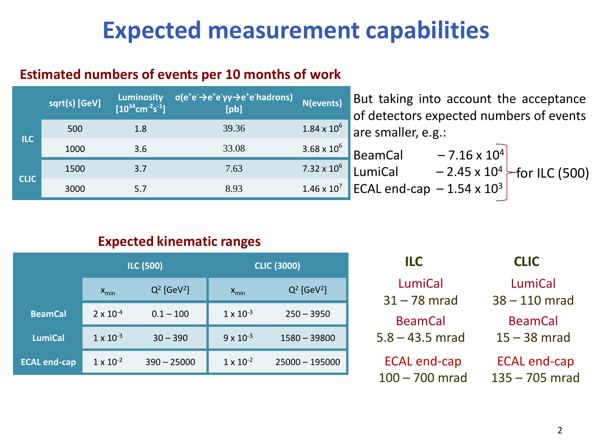## **Expected measurement capabilities**

#### **Estimated numbers of events per 10 months of work**

|             | sqrt(s) [GeV] | <b>Luminosity</b><br>$[10^{34}$ cm <sup>-2</sup> s <sup>-1</sup> ] | $\sigma(e^+e^- \rightarrow e^+e^- \gamma \gamma \rightarrow e^+e^-$ hadrons)<br>[pb] | N(events)            |
|-------------|---------------|--------------------------------------------------------------------|--------------------------------------------------------------------------------------|----------------------|
| <b>ILC</b>  | 500           | 1.8                                                                | 39.36                                                                                | $1.84 \times 10^{6}$ |
|             | 1000          | 3.6                                                                | 33.08                                                                                | $3.68 \times 10^{6}$ |
| <b>CLIC</b> | 1500          | 3.7                                                                | 7.63                                                                                 | 7.32 x $10^6$        |
|             | 3000          | 5.7                                                                | 8.93                                                                                 | $1.46 \times 10^{7}$ |

But taking into account the acceptance of detectors expected numbers of events are smaller, e.g.:

| <b>BeamCal</b>                   | $-7.16 \times 10^{4}$ |                                      |
|----------------------------------|-----------------------|--------------------------------------|
| LumiCal                          |                       | $-2.45 \times 10^{4}$ -for ILC (500) |
| ECAL end-cap $-1.54 \times 10^3$ |                       |                                      |

#### **Expected kinematic ranges**

|                     | <b>ILC (500)</b>   |                           | <b>CLIC (3000)</b> |                           |
|---------------------|--------------------|---------------------------|--------------------|---------------------------|
|                     | $X_{\text{min}}$   | $Q^2$ [GeV <sup>2</sup> ] | $X_{\text{min}}$   | $Q^2$ [GeV <sup>2</sup> ] |
| <b>BeamCal</b>      | $2 \times 10^{-4}$ | $0.1 - 100$               | $1 \times 10^{-3}$ | $250 - 3950$              |
| <b>LumiCal</b>      | $1 \times 10^{-3}$ | $30 - 390$                | $9 \times 10^{-3}$ | $1580 - 39800$            |
| <b>ECAL end-cap</b> | $1 \times 10^{-2}$ | $390 - 25000$             | $1 \times 10^{-2}$ | $25000 - 195000$          |

| ILC                                     | <b>CLIC</b>                             |
|-----------------------------------------|-----------------------------------------|
| LumiCal                                 | LumiCal                                 |
| $31 - 78$ mrad                          | $38 - 110$ mrad                         |
| <b>BeamCal</b><br>$5.8 - 43.5$ mrad     | <b>BeamCal</b><br>$15 - 38$ mrad        |
| <b>ECAL end-cap</b><br>$100 - 700$ mrad | <b>ECAL end-cap</b><br>$135 - 705$ mrad |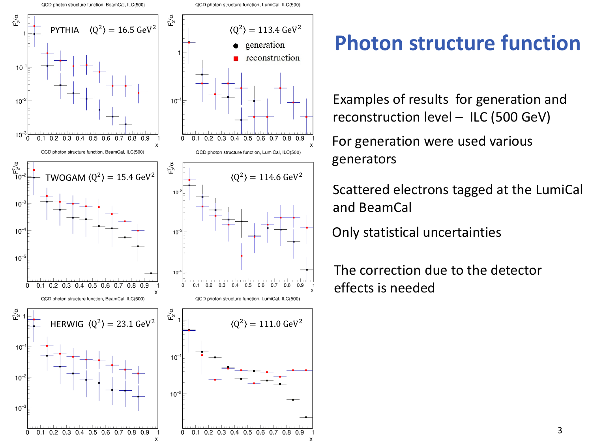QCD photon structure function, BeamCal, ILC(500)



 $\boldsymbol{\mathsf{x}}$ 

### **Photon structure function**

Examples of results for generation and reconstruction level – ILC (500 GeV)

For generation were used various generators

Scattered electrons tagged at the LumiCal and BeamCal

Only statistical uncertainties

X

The correction due to the detector effects is needed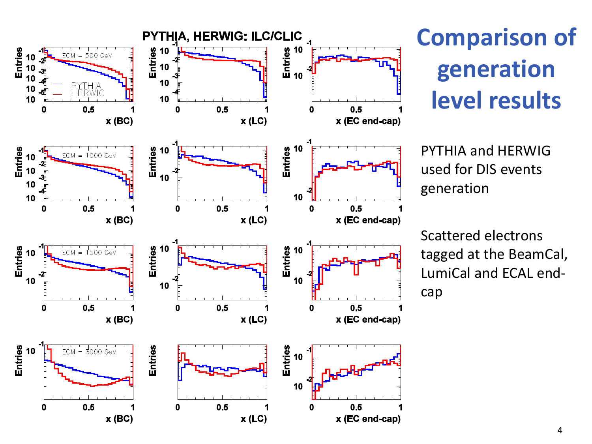

## **Comparison of generation level results**

PYTHIA and HERWIG used for DIS events generation

Scattered electrons tagged at the BeamCal, LumiCal and ECAL endcap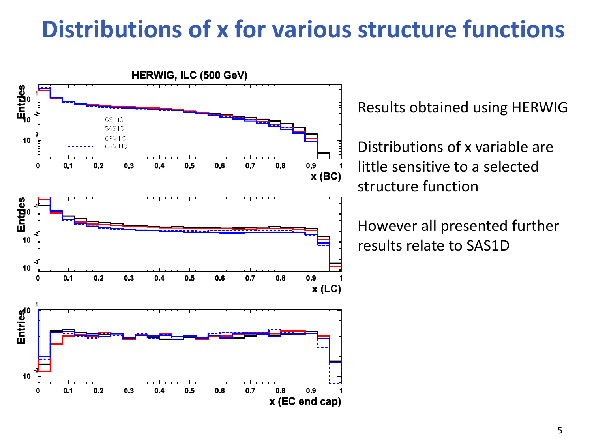## **Distributions of x for various structure functions**



Results obtained using HERWIG

Distributions of x variable are little sensitive to a selected structure function

However all presented further results relate to SAS1D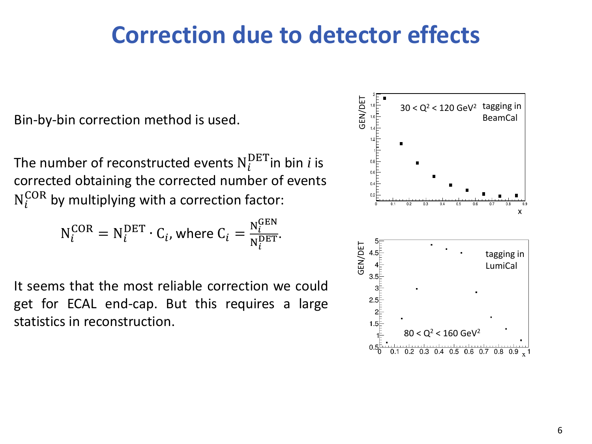### **Correction due to detector effects**

Bin-by-bin correction method is used.

The number of reconstructed events  $\boldsymbol{\mathsf{N}}_i^{\text{DET}}$ in bin  $i$  is corrected obtaining the corrected number of events  $N_i^{COR}$  by multiplying with a correction factor:

$$
N_i^{COR} = N_i^{DET} \cdot C_i
$$
, where  $C_i = \frac{N_i^{GEN}}{N_i^{DET}}$ .

It seems that the most reliable correction we could get for ECAL end-cap. But this requires a large statistics in reconstruction.

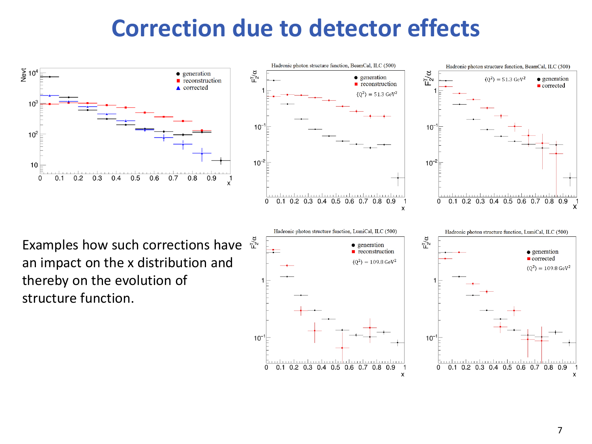## **Correction due to detector effects**